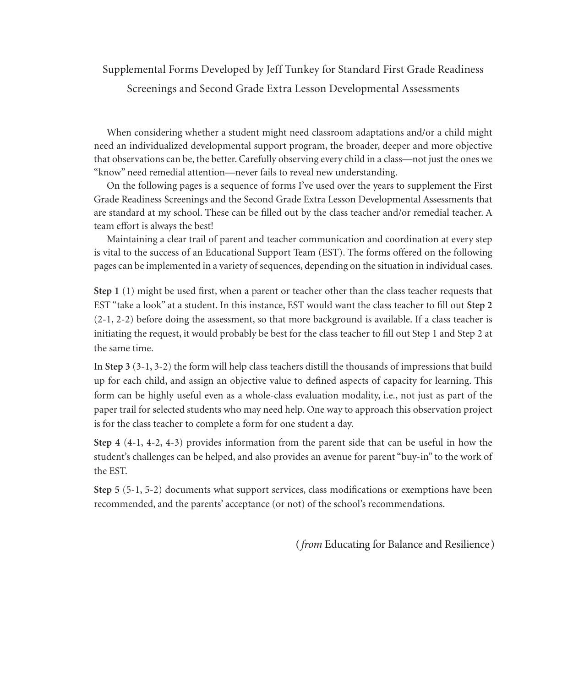## Supplemental Forms Developed by Jeff Tunkey for Standard First Grade Readiness Screenings and Second Grade Extra Lesson Developmental Assessments

When considering whether a student might need classroom adaptations and/or a child might need an individualized developmental support program, the broader, deeper and more objective that observations can be, the better. Carefully observing every child in a class—not just the ones we "know" need remedial attention—never fails to reveal new understanding.

On the following pages is a sequence of forms I've used over the years to supplement the First Grade Readiness Screenings and the Second Grade Extra Lesson Developmental Assessments that are standard at my school. These can be filled out by the class teacher and/or remedial teacher. A team effort is always the best!

Maintaining a clear trail of parent and teacher communication and coordination at every step is vital to the success of an Educational Support Team (EST). The forms offered on the following pages can be implemented in a variety of sequences, depending on the situation in individual cases.

**Step 1** (1) might be used first, when a parent or teacher other than the class teacher requests that EST "take a look" at a student. In this instance, EST would want the class teacher to fill out **Step 2** (2-1, 2-2) before doing the assessment, so that more background is available. If a class teacher is initiating the request, it would probably be best for the class teacher to fill out Step 1 and Step 2 at the same time.

In **Step 3** (3-1, 3-2) the form will help class teachers distill the thousands of impressions that build up for each child, and assign an objective value to defined aspects of capacity for learning. This form can be highly useful even as a whole-class evaluation modality, i.e., not just as part of the paper trail for selected students who may need help. One way to approach this observation project is for the class teacher to complete a form for one student a day.

**Step 4** (4-1, 4-2, 4-3) provides information from the parent side that can be useful in how the student's challenges can be helped, and also provides an avenue for parent "buy-in" to the work of the EST.

**Step 5** (5-1, 5-2) documents what support services, class modifications or exemptions have been recommended, and the parents' acceptance (or not) of the school's recommendations.

(*from* Educating for Balance and Resilience)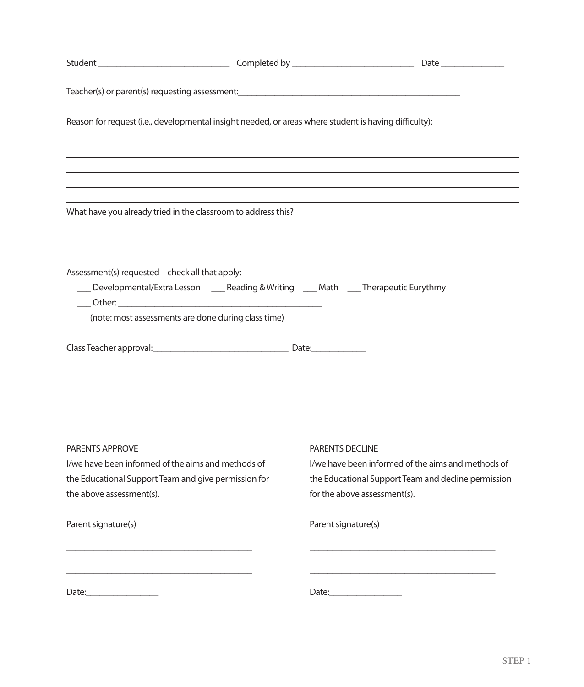| Reason for request (i.e., developmental insight needed, or areas where student is having difficulty):                                                                                               |                                                                                                                                                                                                                               |
|-----------------------------------------------------------------------------------------------------------------------------------------------------------------------------------------------------|-------------------------------------------------------------------------------------------------------------------------------------------------------------------------------------------------------------------------------|
|                                                                                                                                                                                                     | ,我们也不会有什么。""我们的人,我们也不会有什么?""我们的人,我们也不会有什么?""我们的人,我们也不会有什么?""我们的人,我们也不会有什么?""我们的人                                                                                                                                              |
|                                                                                                                                                                                                     |                                                                                                                                                                                                                               |
|                                                                                                                                                                                                     | the control of the control of the control of the control of the control of the control of the control of the control of the control of the control of the control of the control of the control of the control of the control |
|                                                                                                                                                                                                     | What have you already tried in the classroom to address this?<br>Units also have you already tried in the classroom to address this?                                                                                          |
|                                                                                                                                                                                                     |                                                                                                                                                                                                                               |
| Assessment(s) requested - check all that apply:<br>___ Developmental/Extra Lesson ____ Reading & Writing ____ Math ____ Therapeutic Eurythmy<br>(note: most assessments are done during class time) |                                                                                                                                                                                                                               |
| PARENTS APPROVE<br>I/we have been informed of the aims and methods of<br>the Educational Support Team and give permission for<br>the above assessment(s).                                           | PARENTS DECLINE<br>I/we have been informed of the aims and methods of<br>the Educational Support Team and decline permission<br>for the above assessment(s).                                                                  |
| Parent signature(s)                                                                                                                                                                                 | Parent signature(s)                                                                                                                                                                                                           |
|                                                                                                                                                                                                     |                                                                                                                                                                                                                               |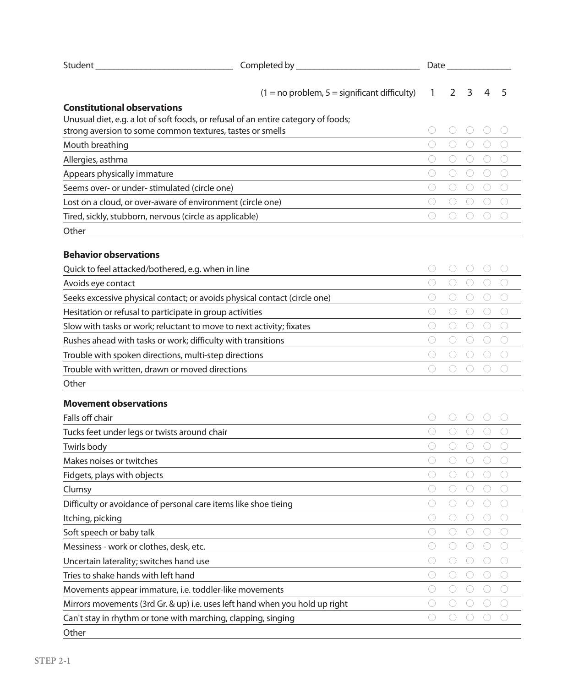| Student                                                                            | Completed by                                                              |            | Date |            |   |                                             |
|------------------------------------------------------------------------------------|---------------------------------------------------------------------------|------------|------|------------|---|---------------------------------------------|
|                                                                                    | $(1 = no problem, 5 = significant difficulty)$                            | 1          | 2    | 3          | 4 | 5                                           |
| <b>Constitutional observations</b>                                                 |                                                                           |            |      |            |   |                                             |
| Unusual diet, e.g. a lot of soft foods, or refusal of an entire category of foods; |                                                                           |            |      |            |   |                                             |
| strong aversion to some common textures, tastes or smells                          |                                                                           |            |      |            |   |                                             |
| Mouth breathing                                                                    |                                                                           | О          |      | 0          |   |                                             |
| Allergies, asthma                                                                  |                                                                           |            |      | O          |   | $\left( \quad \right)$                      |
| Appears physically immature                                                        | <u> 1980 - Johann John Stein, markin santa shekara 1980 - An an tsara</u> | O          |      | O          |   |                                             |
| Seems over- or under- stimulated (circle one)                                      |                                                                           | O          |      | O          | C | $\left(\right)$                             |
| Lost on a cloud, or over-aware of environment (circle one)                         |                                                                           | O          |      | O          |   | $\left(\begin{array}{c} \end{array}\right)$ |
| Tired, sickly, stubborn, nervous (circle as applicable)                            |                                                                           | 0          |      |            |   |                                             |
| Other                                                                              |                                                                           |            |      |            |   |                                             |
| <b>Behavior observations</b>                                                       |                                                                           |            |      |            |   |                                             |
| Quick to feel attacked/bothered, e.g. when in line                                 |                                                                           |            |      |            |   |                                             |
| Avoids eye contact                                                                 |                                                                           | O          |      |            |   |                                             |
| Seeks excessive physical contact; or avoids physical contact (circle one)          |                                                                           |            |      | 0          |   |                                             |
| Hesitation or refusal to participate in group activities                           |                                                                           | O          |      | $\bigcirc$ |   |                                             |
| Slow with tasks or work; reluctant to move to next activity; fixates               |                                                                           | O          |      | O          |   |                                             |
| Rushes ahead with tasks or work; difficulty with transitions                       |                                                                           | O          |      | $\bigcirc$ |   |                                             |
| Trouble with spoken directions, multi-step directions                              |                                                                           | O          |      |            |   |                                             |
| Trouble with written, drawn or moved directions                                    |                                                                           | €          |      |            |   |                                             |
| Other                                                                              |                                                                           |            |      |            |   |                                             |
| <b>Movement observations</b>                                                       |                                                                           |            |      |            |   |                                             |
| Falls off chair                                                                    |                                                                           |            |      |            |   |                                             |
| Tucks feet under legs or twists around chair                                       |                                                                           | C          |      |            |   |                                             |
| Twirls body                                                                        |                                                                           |            |      |            |   |                                             |
| Makes noises or twitches                                                           |                                                                           | O          |      |            |   |                                             |
| Fidgets, plays with objects                                                        |                                                                           | O          |      | O          |   |                                             |
| Clumsy                                                                             |                                                                           |            |      |            |   |                                             |
| Difficulty or avoidance of personal care items like shoe tieing                    |                                                                           | O          |      |            |   |                                             |
| Itching, picking                                                                   |                                                                           | О          | O    | O          | C |                                             |
| Soft speech or baby talk                                                           |                                                                           |            |      |            |   |                                             |
| Messiness - work or clothes, desk, etc.                                            |                                                                           | C          |      | 0          |   |                                             |
| Uncertain laterality; switches hand use                                            |                                                                           | O          |      | O          |   |                                             |
| Tries to shake hands with left hand                                                |                                                                           | $\bigcirc$ | O    | O          | O | 0                                           |
| Movements appear immature, i.e. toddler-like movements                             |                                                                           | C          |      | O          | C | 0                                           |
| Mirrors movements (3rd Gr. & up) i.e. uses left hand when you hold up right        |                                                                           | $\bigcirc$ |      | 0          | О | 0                                           |
| Can't stay in rhythm or tone with marching, clapping, singing                      |                                                                           | O          |      |            |   |                                             |
| Other                                                                              |                                                                           |            |      |            |   |                                             |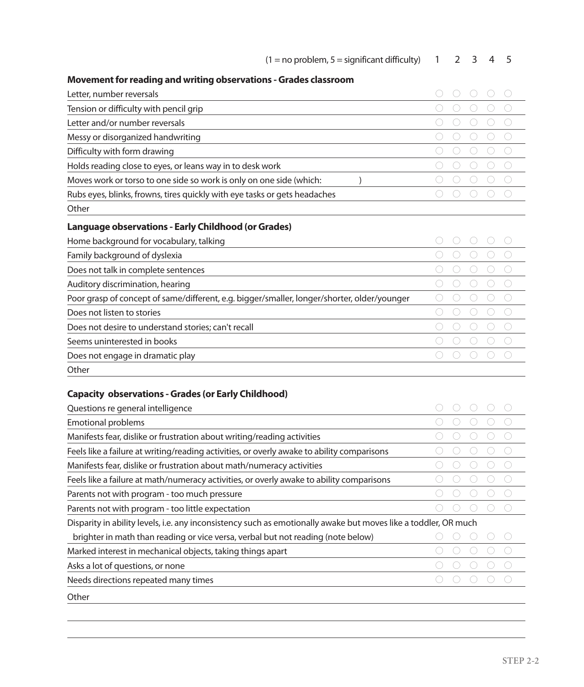| $(1 = no problem, 5 = significant difficulty)$                                              | 1 | $\mathcal{P}$ | 3          | 4 | 5                    |
|---------------------------------------------------------------------------------------------|---|---------------|------------|---|----------------------|
| Movement for reading and writing observations - Grades classroom                            |   |               |            |   |                      |
| Letter, number reversals                                                                    |   |               |            |   |                      |
| Tension or difficulty with pencil grip                                                      |   |               | O          |   |                      |
| Letter and/or number reversals                                                              |   |               | O          |   |                      |
| Messy or disorganized handwriting                                                           |   |               |            |   |                      |
| Difficulty with form drawing                                                                |   |               | O          |   | $\bigcirc$           |
| Holds reading close to eyes, or leans way in to desk work                                   |   |               | O          |   |                      |
| Moves work or torso to one side so work is only on one side (which:                         |   |               | O          |   | 0                    |
| Rubs eyes, blinks, frowns, tires quickly with eye tasks or gets headaches                   |   |               |            |   | O                    |
| Other                                                                                       |   |               |            |   |                      |
| <b>Language observations - Early Childhood (or Grades)</b>                                  |   |               |            |   |                      |
| Home background for vocabulary, talking                                                     |   |               |            |   |                      |
| Family background of dyslexia                                                               |   |               |            |   |                      |
| Does not talk in complete sentences                                                         |   |               | O          |   |                      |
| Auditory discrimination, hearing                                                            |   |               | O          |   | O                    |
| Poor grasp of concept of same/different, e.g. bigger/smaller, longer/shorter, older/younger |   |               | O          |   | 0                    |
| Does not listen to stories                                                                  |   |               | O          |   |                      |
| Does not desire to understand stories; can't recall                                         |   |               | $\bigcirc$ |   | $\left(\cdot\right)$ |
| Seems uninterested in books                                                                 |   |               | O          |   | ∩                    |
| Does not engage in dramatic play                                                            |   |               |            |   |                      |
| Other                                                                                       |   |               |            |   |                      |
| <b>Capacity observations - Grades (or Early Childhood)</b>                                  |   |               |            |   |                      |
| Questions re general intelligence                                                           |   |               |            |   |                      |
| <b>Emotional problems</b>                                                                   |   |               |            |   |                      |
| Manifests fear, dislike or frustration about writing/reading activities                     |   |               |            |   |                      |

| ividriličsts ičai, dislike or hustrationi about Wilting/Teading activities                                      | マノー・マン ニマン・ニマン |
|-----------------------------------------------------------------------------------------------------------------|----------------|
| Feels like a failure at writing/reading activities, or overly awake to ability comparisons                      |                |
| Manifests fear, dislike or frustration about math/numeracy activities                                           |                |
| Feels like a failure at math/numeracy activities, or overly awake to ability comparisons                        |                |
| Parents not with program - too much pressure                                                                    |                |
| Parents not with program - too little expectation                                                               |                |
| Disparity in ability levels, i.e. any inconsistency such as emotionally awake but moves like a toddler, OR much |                |
| brighter in math than reading or vice versa, verbal but not reading (note below)                                |                |
| Marked interest in mechanical objects, taking things apart                                                      |                |
| Asks a lot of questions, or none                                                                                |                |
| Needs directions repeated many times                                                                            |                |
| Other                                                                                                           |                |

 $\overline{\phantom{a}}$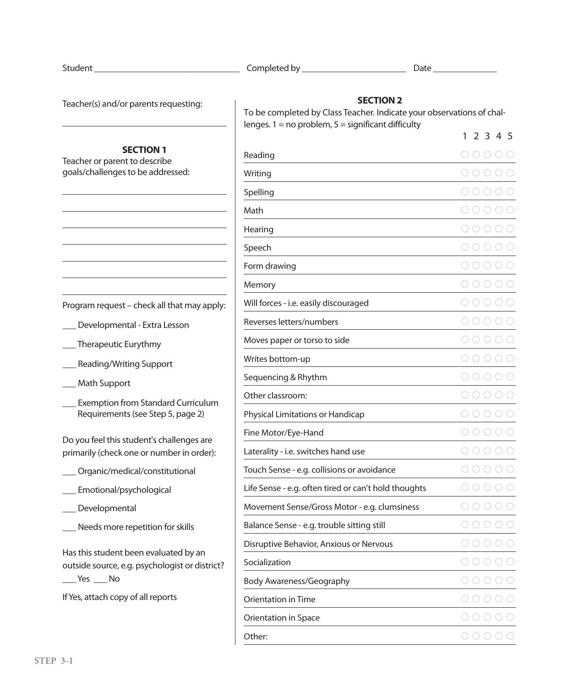| Student |  |
|---------|--|
|         |  |

Student \_\_\_\_\_\_\_\_\_\_\_\_\_\_\_\_\_\_\_\_\_\_\_\_\_\_\_\_\_\_\_\_ Completed by \_\_\_\_\_\_\_\_\_\_\_\_\_\_\_\_\_\_\_\_\_\_\_ Date \_\_\_\_\_\_\_\_\_\_\_\_\_\_ Student \_\_\_\_\_\_\_\_\_\_\_\_\_\_\_\_\_\_\_\_\_\_\_\_\_\_\_\_\_\_\_\_ Completed by \_\_\_\_\_\_\_\_\_\_\_\_\_\_\_\_\_\_\_\_\_\_\_ Date \_\_\_\_\_\_\_\_\_\_\_\_\_\_

**SECTION2 SECTION2** To be completed by Class Teacher. Indicate your observations of chal-To be completed by Class Teacher. Indicate your observations of chal-

Teacher(s) and/or parents requesting:

## **SECTION1**

Teacher or parent to describe Teacher or parent to describe goals/challengesto be addressed: goals/challengesto be addressed:

|  | Program request - check all that may apply: |  |
|--|---------------------------------------------|--|

- \_\_\_ Developmental Extra Lesson \_\_\_ Developmental Extra Lesson
- \_\_\_ Therapeutic Eurythmy \_\_\_ Therapeutic Eurythmy
- \_\_\_ Reading/Writing Support \_\_\_ Reading/Writing Support
- \_\_\_ Math Support \_\_\_ Math Support
- \_\_\_ Exemption from Standard Curriculum \_\_\_ Exemption from Standard Curriculum Requirements(see Step 5, page 2) Requirements(see Step 5, page 2)

Do you feel this student's challenges are primarily (check one or number in order): primarily (check one or number in order):

- \_\_\_Organic/medical/constitutional \_\_\_Organic/medical/constitutional
- \_\_\_ Emotional/psychological \_\_\_ Emotional/psychological
- \_\_\_ Developmental \_\_\_ Developmental
- \_\_\_ Needs more repetition forskills \_\_\_ Needs more repetition forskills

Hasthisstudent been evaluated by an Hasthisstudent been evaluated by an outside source, e.g. psychologist or district? outside source, e.g. psychologist or district? \_\_\_Yes \_\_\_ No \_\_\_Yes \_\_\_ No

IfYes, attach copy of all reports IfYes, attach copy of all reports

| $l$ enges. $1 =$ no problem, $5 =$ significant difficulty |                                                                                                                                                                                                                                                                                                                                                                                                                                       |
|-----------------------------------------------------------|---------------------------------------------------------------------------------------------------------------------------------------------------------------------------------------------------------------------------------------------------------------------------------------------------------------------------------------------------------------------------------------------------------------------------------------|
|                                                           | 1 2 3 4 5                                                                                                                                                                                                                                                                                                                                                                                                                             |
| Reading                                                   | 00000                                                                                                                                                                                                                                                                                                                                                                                                                                 |
| Writing                                                   | 00000                                                                                                                                                                                                                                                                                                                                                                                                                                 |
| Spelling                                                  | 00000                                                                                                                                                                                                                                                                                                                                                                                                                                 |
| Math                                                      | 00000                                                                                                                                                                                                                                                                                                                                                                                                                                 |
| Hearing                                                   | OOOOC                                                                                                                                                                                                                                                                                                                                                                                                                                 |
| Speech                                                    | 00000                                                                                                                                                                                                                                                                                                                                                                                                                                 |
| Form drawing                                              | 00000                                                                                                                                                                                                                                                                                                                                                                                                                                 |
| Memory                                                    | 00000                                                                                                                                                                                                                                                                                                                                                                                                                                 |
| Will forces - i.e. easily discouraged                     | OOOOC                                                                                                                                                                                                                                                                                                                                                                                                                                 |
| Reverses letters/numbers                                  | 00000                                                                                                                                                                                                                                                                                                                                                                                                                                 |
| Moves paper or torso to side                              | 0 0 0 0 0                                                                                                                                                                                                                                                                                                                                                                                                                             |
| Writes bottom-up                                          | 00000                                                                                                                                                                                                                                                                                                                                                                                                                                 |
| Sequencing & Rhythm                                       | 00000                                                                                                                                                                                                                                                                                                                                                                                                                                 |
| Other classroom:                                          | 00000                                                                                                                                                                                                                                                                                                                                                                                                                                 |
| Physical Limitations or Handicap                          | 00000                                                                                                                                                                                                                                                                                                                                                                                                                                 |
| Fine Motor/Eye-Hand                                       | 00000                                                                                                                                                                                                                                                                                                                                                                                                                                 |
| Laterality - i.e. switches hand use                       | 00000                                                                                                                                                                                                                                                                                                                                                                                                                                 |
| Touch Sense - e.g. collisions or avoidance                | 00000                                                                                                                                                                                                                                                                                                                                                                                                                                 |
| Life Sense - e.g. often tired or can't hold thoughts      | 00000                                                                                                                                                                                                                                                                                                                                                                                                                                 |
| Movement Sense/Gross Motor - e.g. clumsiness              | 00000                                                                                                                                                                                                                                                                                                                                                                                                                                 |
| Balance Sense - e.g. trouble sitting still                | 00000                                                                                                                                                                                                                                                                                                                                                                                                                                 |
| Disruptive Behavior, Anxious or Nervous                   |                                                                                                                                                                                                                                                                                                                                                                                                                                       |
| Socialization                                             | $\left( \begin{array}{c} \frac{1}{2} \\ \frac{1}{2} \\ \frac{1}{2} \\ \frac{1}{2} \\ \frac{1}{2} \\ \frac{1}{2} \\ \frac{1}{2} \\ \frac{1}{2} \\ \frac{1}{2} \\ \frac{1}{2} \\ \frac{1}{2} \\ \frac{1}{2} \\ \frac{1}{2} \\ \frac{1}{2} \\ \frac{1}{2} \\ \frac{1}{2} \\ \frac{1}{2} \\ \frac{1}{2} \\ \frac{1}{2} \\ \frac{1}{2} \\ \frac{1}{2} \\ \frac{1}{2} \\ \frac{1}{2} \\ \frac{1}{2} \\ \frac{1}{2} \\ \frac{1}{2} \\ \frac$ |
| <b>Body Awareness/Geography</b>                           | O O<br>()()                                                                                                                                                                                                                                                                                                                                                                                                                           |
| Orientation in Time                                       | $\left( \begin{array}{c} \cdot \end{array} \right)$                                                                                                                                                                                                                                                                                                                                                                                   |
| Orientation in Space                                      |                                                                                                                                                                                                                                                                                                                                                                                                                                       |
| Other:                                                    | 00000                                                                                                                                                                                                                                                                                                                                                                                                                                 |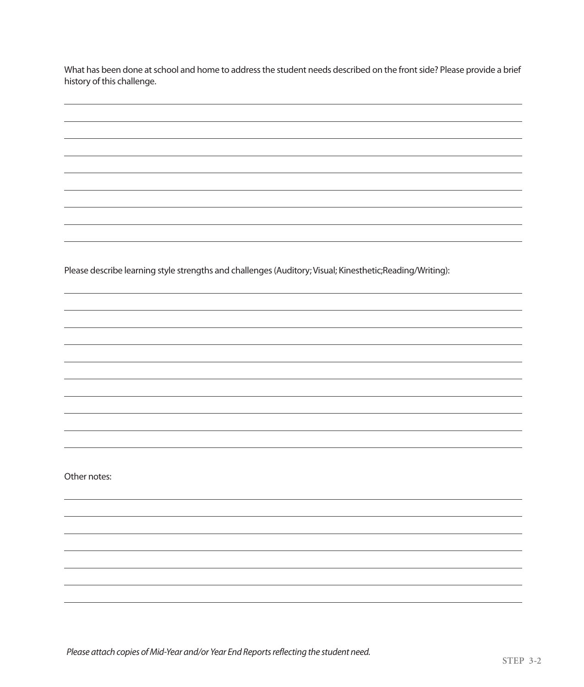What has been done at school and home to address the student needs described on the front side? Please provide a brief history of this challenge. What has been done at student needs described on the frontside on the frontside and home to address described on the frontside and home to address the frontside a brief on the frontside a brief o

Please describe learning style strengths and challenges (Auditory; Visual; Kinesthetic;Reading/Writing):

Other notes: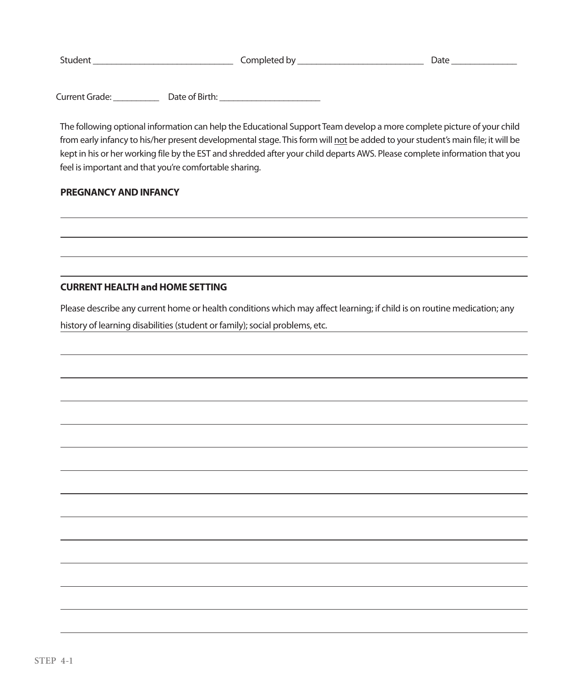| Student | Completed by | <i>D</i> ate |
|---------|--------------|--------------|
|         |              |              |

Current Grade: \_\_\_\_\_\_\_\_\_\_ Date of Birth: \_\_\_\_\_\_\_\_\_\_\_\_\_\_\_\_\_\_\_\_\_\_ Current Grade: \_\_\_\_\_\_\_\_\_\_ Date of Birth: \_\_\_\_\_\_\_\_\_\_\_\_\_\_\_\_\_\_\_\_\_\_

The following optional information can help the Educational Support Team develop a more complete picture of your child from early infancy to his/her present developmental stage. This form will <u>not</u> be added to your student's main file; it will be kept in his or her working file by the EST and shredded after your child departs AWS. Please complete information that you feel isimportant and that you're comfortable sharing. feel isimportant and that you're comfortable sharing. kept in his or her working file by the EST and shredded after your child departs AWS. Please complete information that you

# **PREGNANCY AND INFANCY**

## **CURRENT HEALTH and HOME SETTING**

Please describe any current home or health conditions which may affect learning; if child is on routine medication; any history of learning disabilities (student or family); social problems, etc.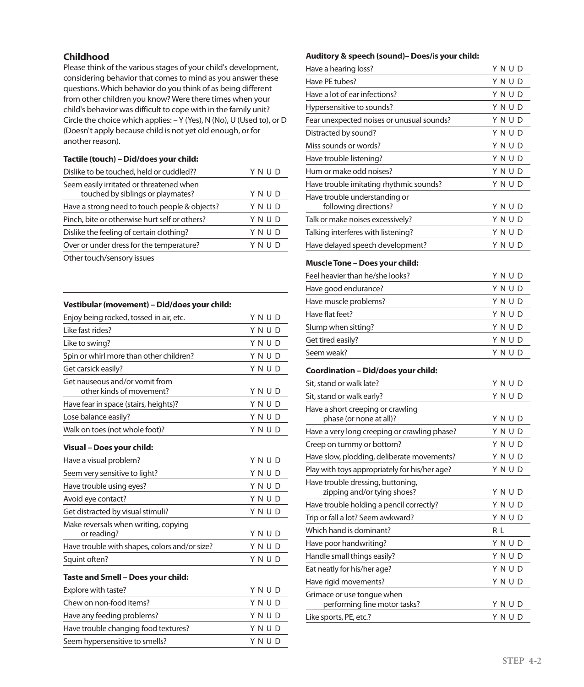### **Childhood**

Please think of the various stages of your child's development, considering behavior that comes to mind as you answer these questions.Which behavior do you think of as being different from other children you know?Were there times when your child's behavior was difficult to cope with in the family unit? Circle the choice which applies: –Y (Yes), N (No), U (Used to), or D (Doesn't apply because child is not yet old enough, or for another reason).

#### **Tactile (touch) –Did/does your child:**

| Dislike to be touched, held or cuddled??                                      | Y N U D |
|-------------------------------------------------------------------------------|---------|
| Seem easily irritated or threatened when<br>touched by siblings or playmates? | YNUD    |
| Have a strong need to touch people & objects?                                 | YNUD    |
| Pinch, bite or otherwise hurt self or others?                                 | YNUD    |
| Dislike the feeling of certain clothing?                                      | YNUD    |
| Over or under dress for the temperature?                                      | YNUD    |
| Other terms between the complete states                                       |         |

Other touch/sensory issues

#### **Vestibular(movement) –Did/does your child:**

| Enjoy being rocked, tossed in air, etc.                    | YNUD |
|------------------------------------------------------------|------|
| l ike fast rides?                                          | YNUD |
| Like to swing?                                             | YNUD |
| Spin or whirl more than other children?                    | YNUD |
| Get carsick easily?                                        | YNUD |
| Get nauseous and/or vomit from<br>other kinds of movement? | YNUD |
| Have fear in space (stairs, heights)?                      | YNUD |
| Lose balance easily?                                       | YNUD |
| Walk on toes (not whole foot)?                             | YNUD |
| Visual - Does your child:                                  |      |
| Have a visual problem?                                     | YNUD |
| Seem very sensitive to light?                              | YNUD |
| Have trouble using eyes?                                   | YNUD |
| Avoid eye contact?                                         | YNUD |
| Get distracted by visual stimuli?                          | YNUD |
| Make reversals when writing, copying<br>or reading?        | YNUD |
| Have trouble with shapes, colors and/or size?              | YNUD |
| Squint often?                                              | YNUD |
| Taste and Smell – Does your child:                         |      |

| Explore with taste?                  | YNUD |
|--------------------------------------|------|
| Chew on non-food items?              | YNUD |
| Have any feeding problems?           | YNUD |
| Have trouble changing food textures? | YNUD |
| Seem hypersensitive to smells?       | YNUD |
|                                      |      |

#### **Auditory& speech (sound)–Does/is your child:**

| Have a hearing loss?                                             | YNUD |
|------------------------------------------------------------------|------|
| Have PE tubes?                                                   | YNUD |
| Have a lot of ear infections?                                    | YNUD |
| Hypersensitive to sounds?                                        | YNUD |
| Fear unexpected noises or unusual sounds?                        | YNUD |
| Distracted by sound?                                             | YNUD |
| Miss sounds or words?                                            | YNUD |
| Have trouble listening?                                          | YNUD |
| Hum or make odd noises?                                          | YNUD |
| Have trouble imitating rhythmic sounds?                          | YNUD |
| Have trouble understanding or<br>following directions?           | YNUD |
| Talk or make noises excessively?                                 | YNUD |
| Talking interferes with listening?                               | YNUD |
| Have delayed speech development?                                 | YNUD |
| Muscle Tone – Does your child:                                   |      |
| Feel heavier than he/she looks?                                  | YNUD |
| Have good endurance?                                             | YNUD |
| Have muscle problems?                                            | YNUD |
| Have flat feet?                                                  | YNUD |
| Slump when sitting?                                              | YNUD |
| Get tired easily?                                                | YNUD |
| Seem weak?                                                       | YNUD |
| Coordination – Did/does your child:                              |      |
| Sit, stand or walk late?                                         | YNUD |
| Sit, stand or walk early?                                        | YNUD |
| Have a short creeping or crawling<br>phase (or none at all)?     | YNUD |
| Have a very long creeping or crawling phase?                     | YNUD |
| Creep on tummy or bottom?                                        | YNUD |
| Have slow, plodding, deliberate movements?                       | YNUD |
| Play with toys appropriately for his/her age?                    | YNUD |
| Have trouble dressing, buttoning,<br>zipping and/or tying shoes? | YNUD |
| Have trouble holding a pencil correctly?                         | YNUD |
| Trip or fall a lot? Seem awkward?                                | YNUD |

Which hand is dominant? R L Have poor handwriting? Y N U D Handle small things easily? Y N U D Eat neatly for his/her age? Y N U D Have rigid movements? Y N U D

performing fine motor tasks? Y N U D Like sports, PE, etc.? Y N U D

Grimace or use tongue when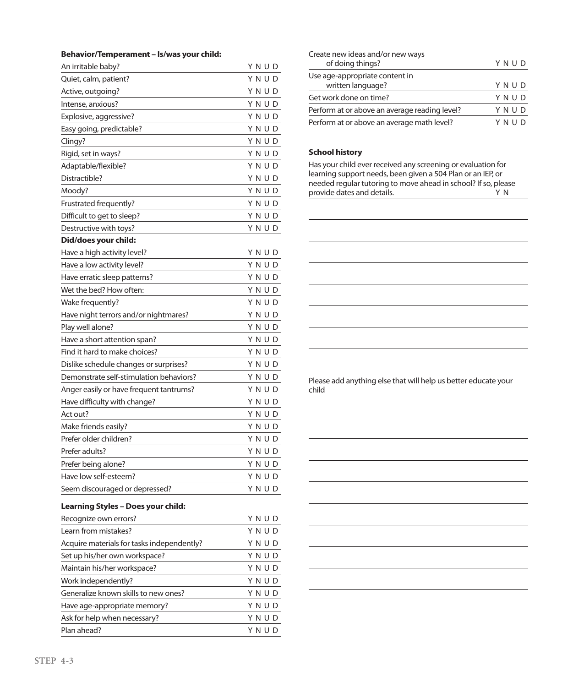#### **Behavior/Temperament – Is/was your child:**

| An irritable baby?                         | Y N U D |
|--------------------------------------------|---------|
| Quiet, calm, patient?                      | Y N U D |
| Active, outgoing?                          | YNUD    |
| Intense, anxious?                          | YNUD    |
| Explosive, aggressive?                     | YNUD    |
| Easy going, predictable?                   | Y N U D |
| Clingy?                                    | Y N U D |
| Rigid, set in ways?                        | Y N U D |
| Adaptable/flexible?                        | YNUD    |
| Distractible?                              | YNUD    |
| Moody?                                     | YNUD    |
| Frustrated frequently?                     | Y N U D |
| Difficult to get to sleep?                 | YNUD    |
| Destructive with toys?                     | YNUD    |
| Did/does your child:                       |         |
| Have a high activity level?                | Y N U D |
| Have a low activity level?                 | YNUD    |
| Have erratic sleep patterns?               | YNUD    |
| Wet the bed? How often:                    | YNUD    |
| Wake frequently?                           | YNUD    |
| Have night terrors and/or nightmares?      | YNUD    |
| Play well alone?                           | Y N U D |
| Have a short attention span?               | YNUD    |
| Find it hard to make choices?              | Y N U D |
| Dislike schedule changes or surprises?     | YNUD    |
| Demonstrate self-stimulation behaviors?    | Y N U D |
| Anger easily or have frequent tantrums?    | YNUD    |
| Have difficulty with change?               | Y N U D |
| Act out?                                   | YNUD    |
| Make friends easily?                       | Y N U D |
| Prefer older children?                     | YNUD    |
| Prefer adults?                             | YNUD    |
| Prefer being alone?                        | YNUD    |
| Have low self-esteem?                      | YNUD    |
| Seem discouraged or depressed?             | YNUD    |
| <b>Learning Styles - Does your child:</b>  |         |
| Recognize own errors?                      | YNUD    |
| Learn from mistakes?                       | YNUD    |
| Acquire materials for tasks independently? | YNUD    |
| Set up his/her own workspace?              | YNUD    |
| Maintain his/her workspace?                | YNUD    |
| Work independently?                        | YNUD    |
| Generalize known skills to new ones?       | YNUD    |
| Have age-appropriate memory?               | YNUD    |

Ask for help when necessary? Y N U D Plan ahead? Y N U D

| Create new ideas and/or new ways              |          |
|-----------------------------------------------|----------|
| of doing things?                              | YNUD     |
| Use age-appropriate content in                |          |
| written language?                             | YNUD     |
| Get work done on time?                        | YNUD     |
| Perform at or above an average reading level? | YNUD     |
| Perform at or above an average math level?    | Y N IJ D |

#### **School history**

Has your child ever received any screening or evaluation for learning support needs, been given a 504 Plan or an IEP, or needed regular tutoring to move ahead in school? If so, please provide dates and details. The matrix of the V N

Please add anything else that will help us better educate your child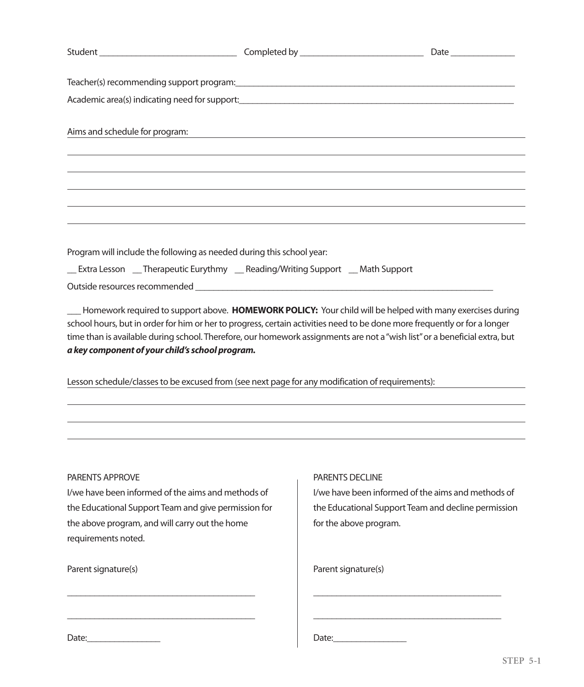| Aims and schedule for program:                                        | <u> 1980 - Johann Barn, mars an t-Amerikaansk ferskeizh (h. 1980)</u>                                                                                                                                                                                                                                                                                                |  |
|-----------------------------------------------------------------------|----------------------------------------------------------------------------------------------------------------------------------------------------------------------------------------------------------------------------------------------------------------------------------------------------------------------------------------------------------------------|--|
|                                                                       |                                                                                                                                                                                                                                                                                                                                                                      |  |
|                                                                       |                                                                                                                                                                                                                                                                                                                                                                      |  |
|                                                                       |                                                                                                                                                                                                                                                                                                                                                                      |  |
| Program will include the following as needed during this school year: |                                                                                                                                                                                                                                                                                                                                                                      |  |
|                                                                       | Extra Lesson __Therapeutic Eurythmy __Reading/Writing Support __Math Support                                                                                                                                                                                                                                                                                         |  |
|                                                                       |                                                                                                                                                                                                                                                                                                                                                                      |  |
| a key component of your child's school program.                       | Homework required to support above. HOMEWORK POLICY: Your child will be helped with many exercises during<br>school hours, but in order for him or her to progress, certain activities need to be done more frequently or for a longer<br>time than is available during school. Therefore, our homework assignments are not a "wish list" or a beneficial extra, but |  |
|                                                                       | Lesson schedule/classes to be excused from (see next page for any modification of requirements):                                                                                                                                                                                                                                                                     |  |
|                                                                       |                                                                                                                                                                                                                                                                                                                                                                      |  |
|                                                                       |                                                                                                                                                                                                                                                                                                                                                                      |  |

#### PARENTS APPROVE PARENTS APPROVE

I/we have been informed of the aims and methods of the Educational Support Team and give permission for the above program, and will carry out the home the above program, and will carry out the home requirements noted. requirements noted. I/we have been informed of the aims and methods of the Educational Support Team and give permission for

\_\_\_\_\_\_\_\_\_\_\_\_\_\_\_\_\_\_\_\_\_\_\_\_\_\_\_\_\_\_\_\_\_\_\_\_\_\_\_\_\_

\_\_\_\_\_\_\_\_\_\_\_\_\_\_\_\_\_\_\_\_\_\_\_\_\_\_\_\_\_\_\_\_\_\_\_\_\_\_\_\_\_

\_\_\_\_\_\_\_\_\_\_\_\_\_\_\_\_\_\_\_\_\_\_\_\_\_\_\_\_\_\_\_\_\_\_\_\_\_\_\_\_\_

\_\_\_\_\_\_\_\_\_\_\_\_\_\_\_\_\_\_\_\_\_\_\_\_\_\_\_\_\_\_\_\_\_\_\_\_\_\_\_\_\_

Parent signature(s)

#### PARENTS DECLINE PARENTS DECLINE

I/we have been informed of the aims and methods of the Educational Support Team and decline permission the Educational Support Team and decline permission for the above program. for the above program. I/we have been informed of the aims and methods of

\_\_\_\_\_\_\_\_\_\_\_\_\_\_\_\_\_\_\_\_\_\_\_\_\_\_\_\_\_\_\_\_\_\_\_\_\_\_\_\_\_

\_\_\_\_\_\_\_\_\_\_\_\_\_\_\_\_\_\_\_\_\_\_\_\_\_\_\_\_\_\_\_\_\_\_\_\_\_\_\_\_\_

\_\_\_\_\_\_\_\_\_\_\_\_\_\_\_\_\_\_\_\_\_\_\_\_\_\_\_\_\_\_\_\_\_\_\_\_\_\_\_\_\_

\_\_\_\_\_\_\_\_\_\_\_\_\_\_\_\_\_\_\_\_\_\_\_\_\_\_\_\_\_\_\_\_\_\_\_\_\_\_\_\_\_

Parent signature(s)

Date:\_\_\_\_\_\_\_\_\_\_\_\_\_\_\_\_ Date:\_\_\_\_\_\_\_\_\_\_\_\_\_\_\_\_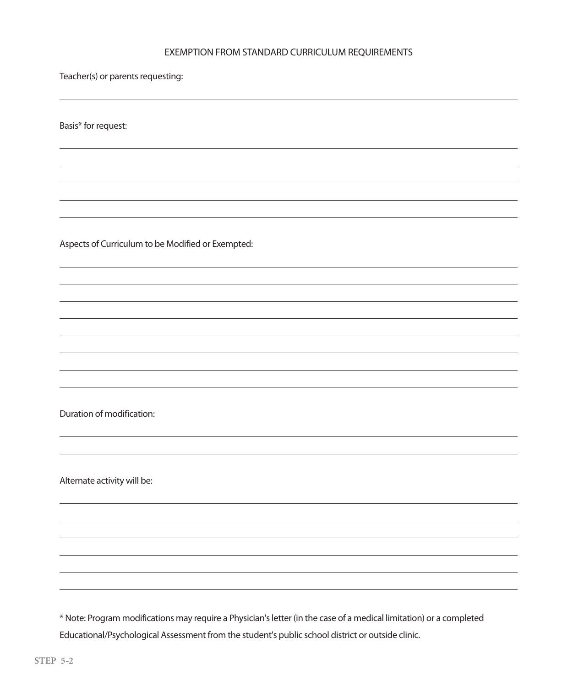# EXEMPTION FROM STANDARD CURRICULUM REQUIREMENTS EXEMPTION FROM STANDARD CURRICULUM REQUIREMENTS

Teacher(s) or parents requesting:

Basis\* for request: Basis\* for request:

Aspects of Curriculum to be Modified or Exempted: Aspects of Curriculum to be Modified or Exempted:

Duration of modification: Duration of modification:

Alternate activity will be: Alternate activity will be:

Educational/Psychological Assessment from the student's public school district or outside clinic. \* Note: Program modifications may require a Physician'sletter (in the case of a medical limitation) or a completed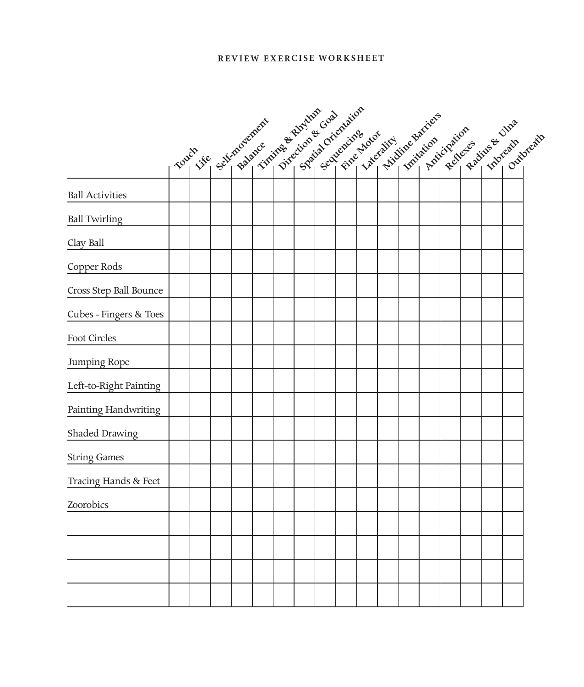### **Review E x e rcise Worksheet**

|                        |                                            |  |  |  |                     |  | lateralist Libraries of the control of the control of the control of the control of the control of the control of the control of the control of the control of the control of the control of the control of the control of the |  |  |  |
|------------------------|--------------------------------------------|--|--|--|---------------------|--|--------------------------------------------------------------------------------------------------------------------------------------------------------------------------------------------------------------------------------|--|--|--|
|                        | Touch see salimone civil single dialection |  |  |  | Spatial orientation |  |                                                                                                                                                                                                                                |  |  |  |
| <b>Ball Activities</b> |                                            |  |  |  |                     |  |                                                                                                                                                                                                                                |  |  |  |
| <b>Ball Twirling</b>   |                                            |  |  |  |                     |  |                                                                                                                                                                                                                                |  |  |  |
| Clay Ball              |                                            |  |  |  |                     |  |                                                                                                                                                                                                                                |  |  |  |
| Copper Rods            |                                            |  |  |  |                     |  |                                                                                                                                                                                                                                |  |  |  |
| Cross Step Ball Bounce |                                            |  |  |  |                     |  |                                                                                                                                                                                                                                |  |  |  |
| Cubes - Fingers & Toes |                                            |  |  |  |                     |  |                                                                                                                                                                                                                                |  |  |  |
| Foot Circles           |                                            |  |  |  |                     |  |                                                                                                                                                                                                                                |  |  |  |
| Jumping Rope           |                                            |  |  |  |                     |  |                                                                                                                                                                                                                                |  |  |  |
| Left-to-Right Painting |                                            |  |  |  |                     |  |                                                                                                                                                                                                                                |  |  |  |
| Painting Handwriting   |                                            |  |  |  |                     |  |                                                                                                                                                                                                                                |  |  |  |
| Shaded Drawing         |                                            |  |  |  |                     |  |                                                                                                                                                                                                                                |  |  |  |
| <b>String Games</b>    |                                            |  |  |  |                     |  |                                                                                                                                                                                                                                |  |  |  |
| Tracing Hands & Feet   |                                            |  |  |  |                     |  |                                                                                                                                                                                                                                |  |  |  |
| Zoorobics              |                                            |  |  |  |                     |  |                                                                                                                                                                                                                                |  |  |  |
|                        |                                            |  |  |  |                     |  |                                                                                                                                                                                                                                |  |  |  |
|                        |                                            |  |  |  |                     |  |                                                                                                                                                                                                                                |  |  |  |
|                        |                                            |  |  |  |                     |  |                                                                                                                                                                                                                                |  |  |  |
|                        |                                            |  |  |  |                     |  |                                                                                                                                                                                                                                |  |  |  |